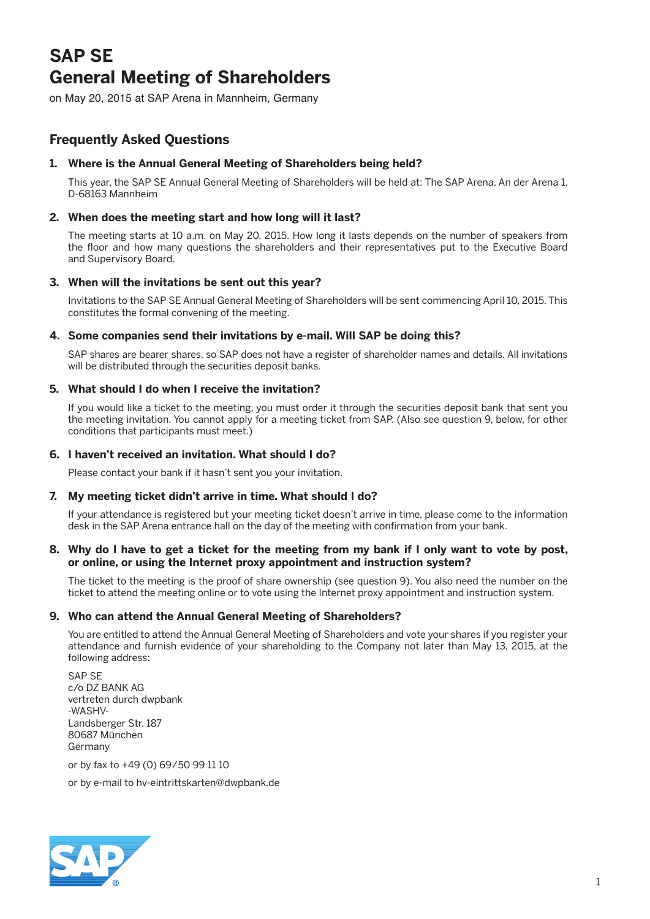# **SAP SE General Meeting of Shareholders**

on May 20, 2015 at SAP Arena in Mannheim, Germany

# **Frequently Asked Questions**

# **1. Where is the Annual General Meeting of Shareholders being held?**

 This year, the SAP SE Annual General Meeting of Shareholders will be held at: The SAP Arena, An der Arena 1, D-68163 Mannheim

# **2. When does the meeting start and how long will it last?**

 The meeting starts at 10 a.m. on May 20, 2015. How long it lasts depends on the number of speakers from the floor and how many questions the shareholders and their representatives put to the Executive Board and Supervisory Board.

# **3. When will the invitations be sent out this year?**

 Invitations to the SAP SE Annual General Meeting of Shareholders will be sent commencing April 10, 2015. This constitutes the formal convening of the meeting.

# **4. Some companies send their invitations by e-mail. Will SAP be doing this?**

 SAP shares are bearer shares, so SAP does not have a register of shareholder names and details. All invitations will be distributed through the securities deposit banks.

# **5. What should I do when I receive the invitation?**

 If you would like a ticket to the meeting, you must order it through the securities deposit bank that sent you the meeting invitation. You cannot apply for a meeting ticket from SAP. (Also see question 9, below, for other conditions that participants must meet.)

# **6. I haven't received an invitation. What should I do?**

Please contact your bank if it hasn't sent you your invitation.

#### **7. My meeting ticket didn't arrive in time. What should I do?**

 If your attendance is registered but your meeting ticket doesn't arrive in time, please come to the information desk in the SAP Arena entrance hall on the day of the meeting with confirmation from your bank.

# **8. Why do I have to get a ticket for the meeting from my bank if I only want to vote by post, or online, or using the Internet proxy appointment and instruction system?**

 The ticket to the meeting is the proof of share ownership (see question 9). You also need the number on the ticket to attend the meeting online or to vote using the Internet proxy appointment and instruction system.

#### **9. Who can attend the Annual General Meeting of Shareholders?**

 You are entitled to attend the Annual General Meeting of Shareholders and vote your shares if you register your attendance and furnish evidence of your shareholding to the Company not later than May 13, 2015, at the following address:

 SAP SE c/o DZ BANK AG vertreten durch dwpbank -WASHV-Landsberger Str. 187 80687 München Germany

or by fax to +49 (0) 69/50 99 11 10

or by e-mail to hv-eintrittskarten@dwpbank.de

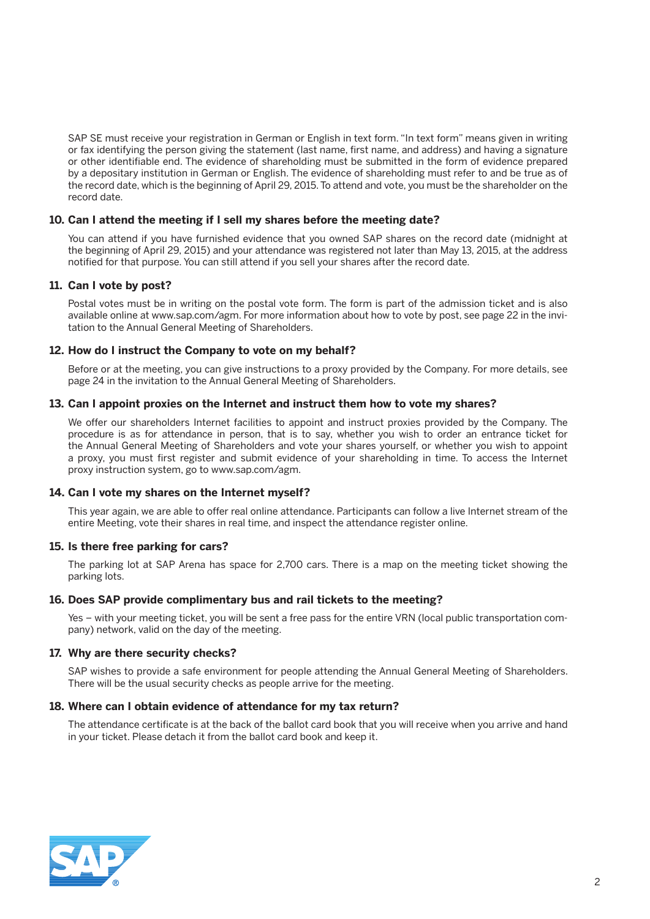SAP SE must receive your registration in German or English in text form. "In text form" means given in writing or fax identifying the person giving the statement (last name, first name, and address) and having a signature or other identifiable end. The evidence of shareholding must be submitted in the form of evidence prepared by a depositary institution in German or English. The evidence of shareholding must refer to and be true as of the record date, which is the beginning of April 29, 2015. To attend and vote, you must be the shareholder on the record date.

#### **10. Can I attend the meeting if I sell my shares before the meeting date?**

 You can attend if you have furnished evidence that you owned SAP shares on the record date (midnight at the beginning of April 29, 2015) and your attendance was registered not later than May 13, 2015, at the address notified for that purpose. You can still attend if you sell your shares after the record date.

# **11. Can I vote by post?**

 Postal votes must be in writing on the postal vote form. The form is part of the admission ticket and is also available online at www.sap.com/agm. For more information about how to vote by post, see page 22 in the invitation to the Annual General Meeting of Shareholders.

# **12. How do I instruct the Company to vote on my behalf?**

 Before or at the meeting, you can give instructions to a proxy provided by the Company. For more details, see page 24 in the invitation to the Annual General Meeting of Shareholders.

#### **13. Can I appoint proxies on the Internet and instruct them how to vote my shares?**

 We offer our shareholders Internet facilities to appoint and instruct proxies provided by the Company. The procedure is as for attendance in person, that is to say, whether you wish to order an entrance ticket for the Annual General Meeting of Shareholders and vote your shares yourself, or whether you wish to appoint a proxy, you must first register and submit evidence of your shareholding in time. To access the Internet proxy instruction system, go to www.sap.com/agm.

#### **14. Can I vote my shares on the Internet myself?**

 This year again, we are able to offer real online attendance. Participants can follow a live Internet stream of the entire Meeting, vote their shares in real time, and inspect the attendance register online.

#### **15. Is there free parking for cars?**

 The parking lot at SAP Arena has space for 2,700 cars. There is a map on the meeting ticket showing the parking lots.

#### **16. Does SAP provide complimentary bus and rail tickets to the meeting?**

 Yes – with your meeting ticket, you will be sent a free pass for the entire VRN (local public transportation company) network, valid on the day of the meeting.

#### **17. Why are there security checks?**

 SAP wishes to provide a safe environment for people attending the Annual General Meeting of Shareholders. There will be the usual security checks as people arrive for the meeting.

#### **18. Where can I obtain evidence of attendance for my tax return?**

 The attendance certificate is at the back of the ballot card book that you will receive when you arrive and hand in your ticket. Please detach it from the ballot card book and keep it.